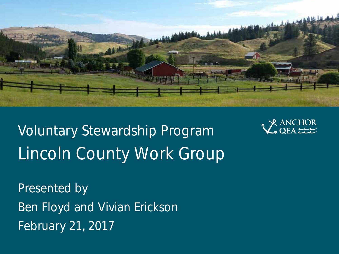

Voluntary Stewardship Program Lincoln County Work Group



Presented by Ben Floyd and Vivian Erickson February 21, 2017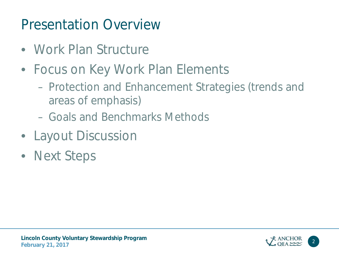### Presentation Overview

- Work Plan Structure
- Focus on Key Work Plan Elements
	- Protection and Enhancement Strategies (trends and areas of emphasis)
	- Goals and Benchmarks Methods
- Layout Discussion
- Next Steps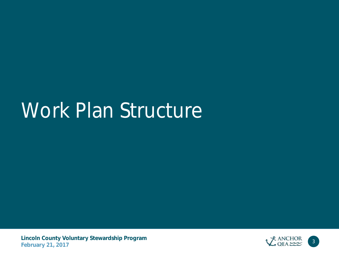# Work Plan Structure

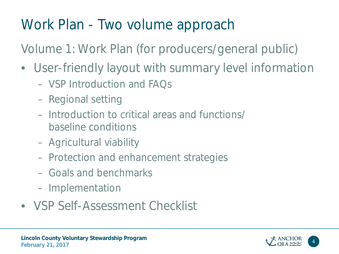### Work Plan - Two volume approach

Volume 1: Work Plan (for producers/general public)

- User-friendly layout with summary level information
	- VSP Introduction and FAQs
	- Regional setting
	- Introduction to critical areas and functions/ baseline conditions
	- Agricultural viability
	- Protection and enhancement strategies
	- Goals and benchmarks
	- Implementation
- VSP Self-Assessment Checklist

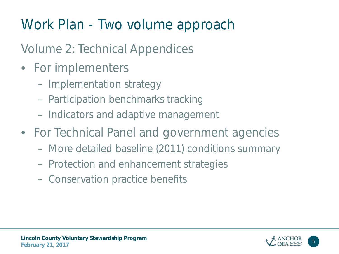## Work Plan - Two volume approach

### Volume 2: Technical Appendices

- For implementers
	- Implementation strategy
	- Participation benchmarks tracking
	- Indicators and adaptive management
- For Technical Panel and government agencies
	- More detailed baseline (2011) conditions summary
	- Protection and enhancement strategies
	- Conservation practice benefits

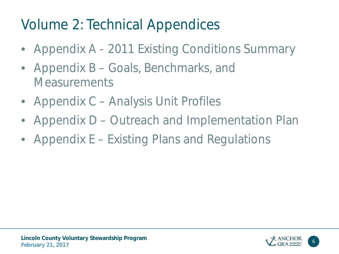### Volume 2: Technical Appendices

- Appendix A 2011 Existing Conditions Summary
- Appendix B Goals, Benchmarks, and **Measurements**
- Appendix C Analysis Unit Profiles
- Appendix D Outreach and Implementation Plan
- Appendix E Existing Plans and Regulations

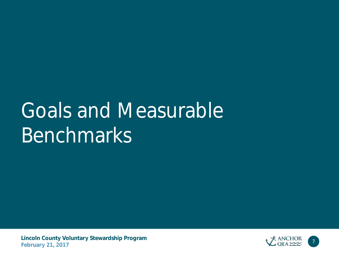# Goals and Measurable Benchmarks

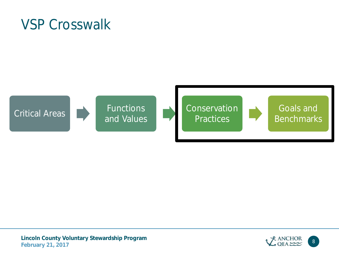VSP Crosswalk







Goals and **Benchmarks** 



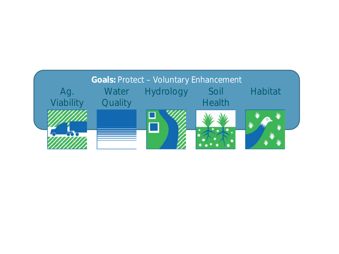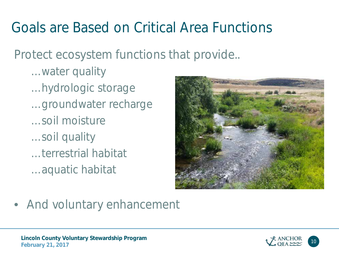### Goals are Based on Critical Area Functions

Protect ecosystem functions that provide..

- … water quality
- … hydrologic storage
- … groundwater recharge
- … soil moisture
- … soil quality
- … terrestrial habitat
- … aquatic habitat



• And voluntary enhancement

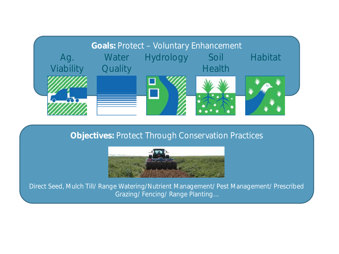

#### **Objectives:** Protect Through Conservation Practices



Direct Seed, Mulch Till/ Range Watering/Nutrient Management/ Pest Management/ Prescribed Grazing/ Fencing/ Range Planting…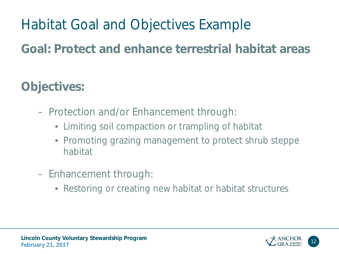### Habitat Goal and Objectives Example

### **Goal: Protect and enhance terrestrial habitat areas**

### **Objectives:**

- Protection and/or Enhancement through:
	- Limiting soil compaction or trampling of habitat
	- Promoting grazing management to protect shrub steppe habitat
- Enhancement through:
	- Restoring or creating new habitat or habitat structures



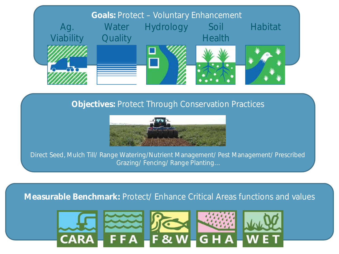

#### **Objectives:** Protect Through Conservation Practices



Direct Seed, Mulch Till/ Range Watering/Nutrient Management/ Pest Management/ Prescribed Grazing/ Fencing/ Range Planting…

#### **Measurable Benchmark:** Protect/ Enhance Critical Areas functions and values

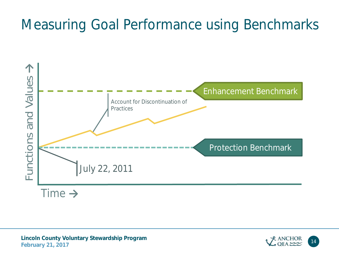### Measuring Goal Performance using Benchmarks



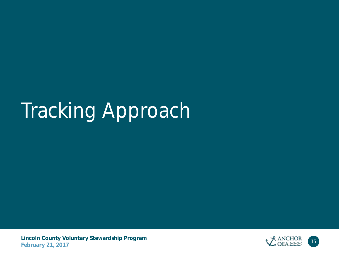# Tracking Approach

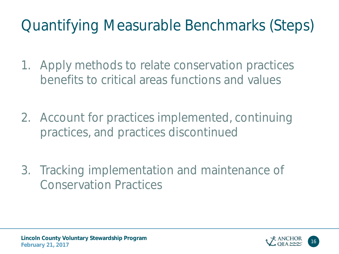## Quantifying Measurable Benchmarks (Steps)

- 1. Apply methods to relate conservation practices benefits to critical areas functions and values
- 2. Account for practices implemented, continuing practices, and practices discontinued
- 3. Tracking implementation and maintenance of Conservation Practices

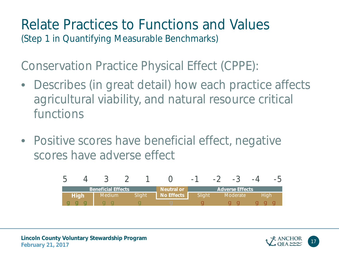### Relate Practices to Functions and Values (Step 1 in Quantifying Measurable Benchmarks)

Conservation Practice Physical Effect (CPPE):

- Describes (in great detail) how each practice affects agricultural viability, and natural resource critical functions
- Positive scores have beneficial effect, negative scores have adverse effect





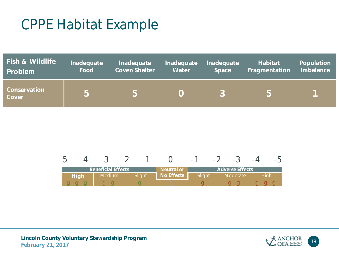### CPPE Habitat Example

| <b>Fish &amp; Wildlife</b> | Inadequate | Inadequate           | Inadequate     | Inadequate   | <b>Habitat</b> | Population       |
|----------------------------|------------|----------------------|----------------|--------------|----------------|------------------|
| Problem                    | Food       | <b>Cover/Shelter</b> | <b>Water</b>   | <b>Space</b> | Fragmentation  | <b>Imbalance</b> |
| Conservation<br>Cover      | 5          | 5                    | $\blacksquare$ |              | $\mathbf{h}$   |                  |

|             |                           |        |                   | -      | $\equiv$ |                        |      |
|-------------|---------------------------|--------|-------------------|--------|----------|------------------------|------|
|             | <b>Beneficial Effects</b> |        | <b>Neutral or</b> |        |          | <b>Adverse Effects</b> |      |
| <b>High</b> | Medium                    | Slight | <b>No Effects</b> | Slight |          | Moderate               | Hiah |
|             |                           |        |                   |        |          |                        |      |

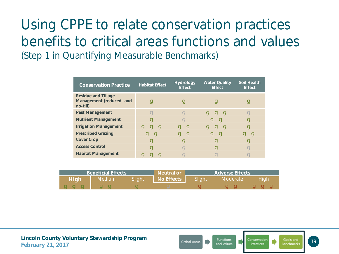### Using CPPE to relate conservation practices benefits to critical areas functions and values (Step 1 in Quantifying Measurable Benchmarks)

| <b>Conservation Practice</b>                                       | <b>Habitat Effect</b> | <b>Hydrology</b><br><b>Effect</b> | <b>Water Quality</b><br><b>Effect</b> | <b>Soil Health</b><br><b>Effect</b> |
|--------------------------------------------------------------------|-----------------------|-----------------------------------|---------------------------------------|-------------------------------------|
| <b>Residue and Tillage</b><br>Management (reduced- and<br>no-till) | عا                    | Q                                 |                                       | 9                                   |
| <b>Pest Management</b>                                             |                       |                                   | 999                                   | $\boldsymbol{\Omega}$               |
| <b>Nutrient Management</b>                                         | Q                     |                                   | 99                                    | g                                   |
| <b>Irrigation Management</b>                                       | <b>g g g</b>          | <b>g</b> g                        | <b>C</b><br>- C J<br>g                | g                                   |
| <b>Prescribed Grazing</b>                                          | <b>C</b>              | <b>C</b>                          | <u>i C</u>                            | <u>i C</u>                          |
| <b>Cover Crop</b>                                                  | عا                    |                                   | عا                                    | 9                                   |
| <b>Access Control</b>                                              | $\bullet$             |                                   | Q                                     | $\bullet$                           |
| <b>Habitat Management</b>                                          |                       |                                   |                                       |                                     |

| <b>Beneficial Effects</b> |        |        | <b>Neutral or</b> | <b>Adverse Effects</b> |                 |      |
|---------------------------|--------|--------|-------------------|------------------------|-----------------|------|
| <b>High</b>               | Medium | Sliaht | <b>No Effects</b> | Slight                 | <b>Moderate</b> | Hiah |
| <u>e i te i </u>          |        |        |                   |                        |                 |      |



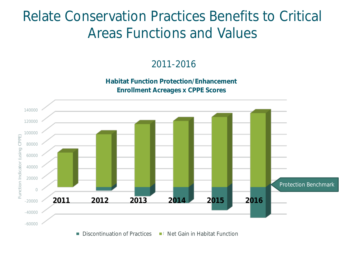### Relate Conservation Practices Benefits to Critical Areas Functions and Values

2011-2016

**Habitat Function Protection/Enhancement Enrollment Acreages x CPPE Scores**

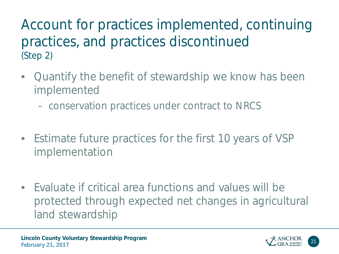Account for practices implemented, continuing practices, and practices discontinued (Step 2)

- Quantify the benefit of stewardship we know has been implemented
	- conservation practices under contract to NRCS
- Estimate future practices for the first 10 years of VSP implementation
- Evaluate if critical area functions and values will be protected through expected net changes in agricultural land stewardship

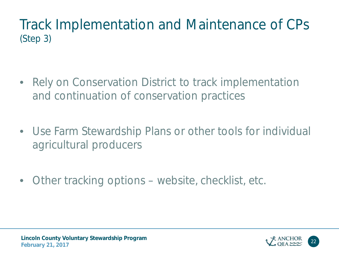### Track Implementation and Maintenance of CPs (Step 3)

- Rely on Conservation District to track implementation and continuation of conservation practices
- Use Farm Stewardship Plans or other tools for individual agricultural producers
- Other tracking options website, checklist, etc.



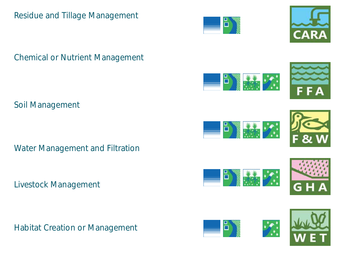#### Residue and Tillage Management



ö  $\mathcal{F}$ 大木













Soil Management

Water Management and Filtration

Livestock Management

Habitat Creation or Management





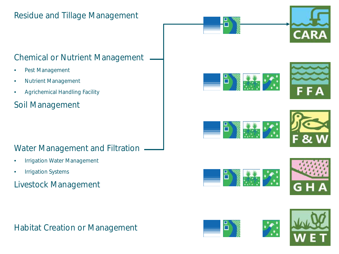#### Residue and Tillage Management

#### Chemical or Nutrient Management

- Pest Management
- Nutrient Management
- Agrichemical Handling Facility

#### Soil Management

#### Water Management and Filtration

- Irrigation Water Management
- Irrigation Systems

#### Livestock Management

#### Habitat Creation or Management



















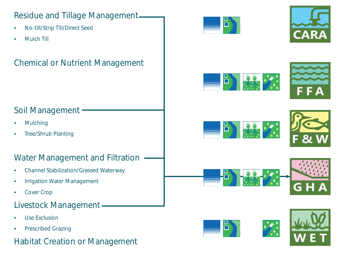#### Residue and Tillage Management

- No-till/Strip Till/Direct Seed
- Mulch Till

#### Chemical or Nutrient Management



















#### Soil Management

- **Mulching**
- Tree/Shrub Planting

#### Water Management and Filtration

- Channel Stabilization/Grassed Waterway
- Irrigation Water Management
- Cover Crop

#### Livestock Management

- Use Exclusion
- Prescribed Grazing

### Habitat Creation or Management<br> **February 2017** 2018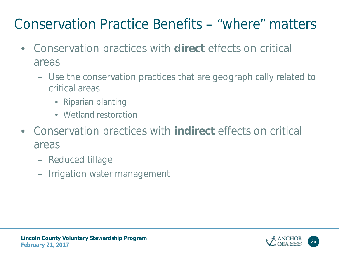### Conservation Practice Benefits – "where" matters

- Conservation practices with **direct** effects on critical areas
	- Use the conservation practices that are geographically related to critical areas
		- Riparian planting
		- Wetland restoration
- Conservation practices with **indirect** effects on critical areas
	- Reduced tillage
	- Irrigation water management

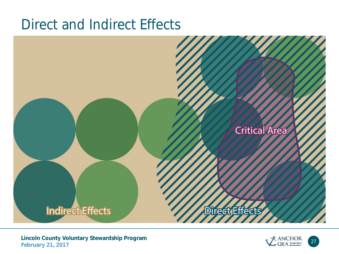### Direct and Indirect Effects



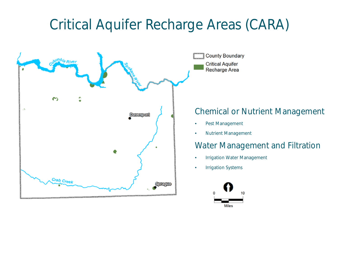### Critical Aquifer Recharge Areas (CARA)

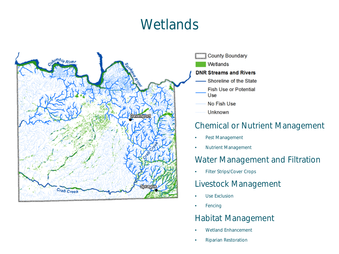### **Wetlands**





- No Fish Use
- **Unknown**

#### Chemical or Nutrient Management

- Pest Management
- Nutrient Management

#### Water Management and Filtration

• Filter Strips/Cover Crops

#### Livestock Management

- Use Exclusion
- Fencing

#### Habitat Management

- Wetland Enhancement
- **February 21, 2017** <sup>29</sup> • Riparian Restoration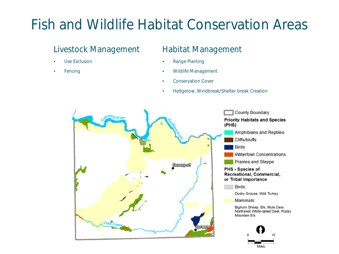### Fish and Wildlife Habitat Conservation Areas

#### Livestock Management

- Use Exclusion
- **Fencing**

#### Habitat Management

- Range Planting
- Wildlife Management
- Conservation Cover
- Hedgerow, Windbreak/Shelter break Creation

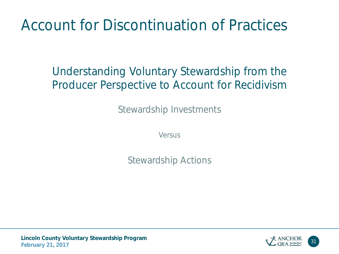### Account for Discontinuation of Practices

### Understanding Voluntary Stewardship from the Producer Perspective to Account for Recidivism

Stewardship Investments

Versus

Stewardship Actions

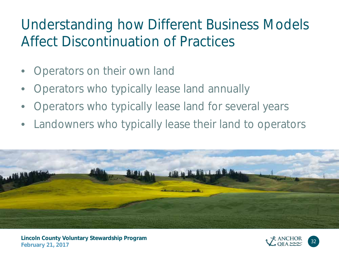### Understanding how Different Business Models Affect Discontinuation of Practices

- Operators on their own land
- Operators who typically lease land annually
- Operators who typically lease land for several years
- Landowners who typically lease their land to operators



**Lincoln County Voluntary Stewardship Program** February 21, 2017<br>February 21, 2017

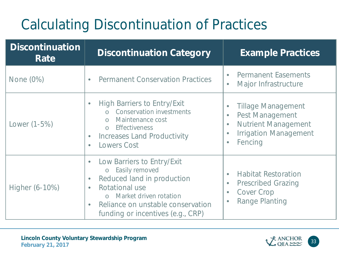### Calculating Discontinuation of Practices

| <b>Discontinuation</b><br>Rate | <b>Discontinuation Category</b>                                                                                                                                                                                                       | <b>Example Practices</b>                                                                                                                                                         |  |  |
|--------------------------------|---------------------------------------------------------------------------------------------------------------------------------------------------------------------------------------------------------------------------------------|----------------------------------------------------------------------------------------------------------------------------------------------------------------------------------|--|--|
| None (0%)                      | <b>Permanent Conservation Practices</b>                                                                                                                                                                                               | <b>Permanent Easements</b><br>$\bullet$<br>Major Infrastructure<br>$\bullet$                                                                                                     |  |  |
| Lower (1-5%)                   | <b>High Barriers to Entry/Exit</b><br>$\bullet$<br><b>Conservation investments</b><br>Maintenance cost<br><b>Effectiveness</b><br>$\bigcirc$<br><b>Increases Land Productivity</b><br><b>Lowers Cost</b><br>$\bullet$                 | <b>Tillage Management</b><br><b>Pest Management</b><br>$\bullet$<br><b>Nutrient Management</b><br>$\bullet$<br><b>Irrigation Management</b><br>$\bullet$<br>Fencing<br>$\bullet$ |  |  |
| Higher (6-10%)                 | Low Barriers to Entry/Exit<br>$\bullet$<br>Easily removed<br>$\circ$<br>Reduced land in production<br>Rotational use<br>Market driven rotation<br>Reliance on unstable conservation<br>$\bullet$<br>funding or incentives (e.g., CRP) | <b>Habitat Restoration</b><br>$\bullet$<br><b>Prescribed Grazing</b><br>$\bullet$<br><b>Cover Crop</b><br>$\bullet$<br><b>Range Planting</b><br>$\bullet$                        |  |  |

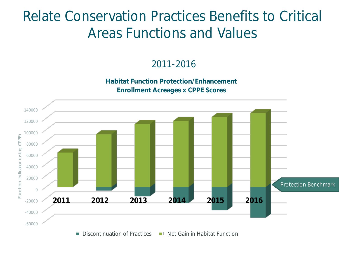### Relate Conservation Practices Benefits to Critical Areas Functions and Values

2011-2016

**Habitat Function Protection/Enhancement Enrollment Acreages x CPPE Scores**

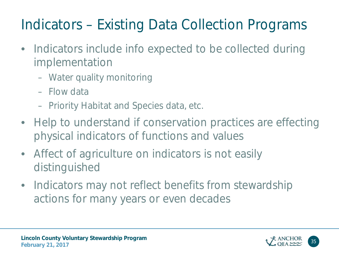## Indicators – Existing Data Collection Programs

- Indicators include info expected to be collected during implementation
	- Water quality monitoring
	- Flow data
	- Priority Habitat and Species data, etc.
- Help to understand if conservation practices are effecting physical indicators of functions and values
- Affect of agriculture on indicators is not easily distinguished
- Indicators may not reflect benefits from stewardship actions for many years or even decades



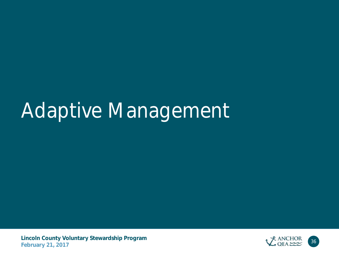# Adaptive Management

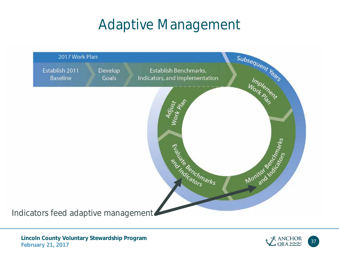### Adaptive Management



**Lincoln County Voluntary Stewardship Program** February 21, 2017<br>February 21, 2017

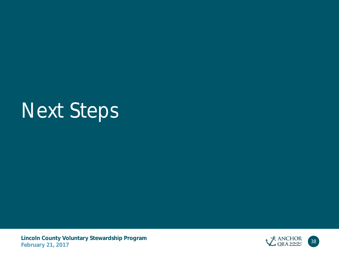# Next Steps